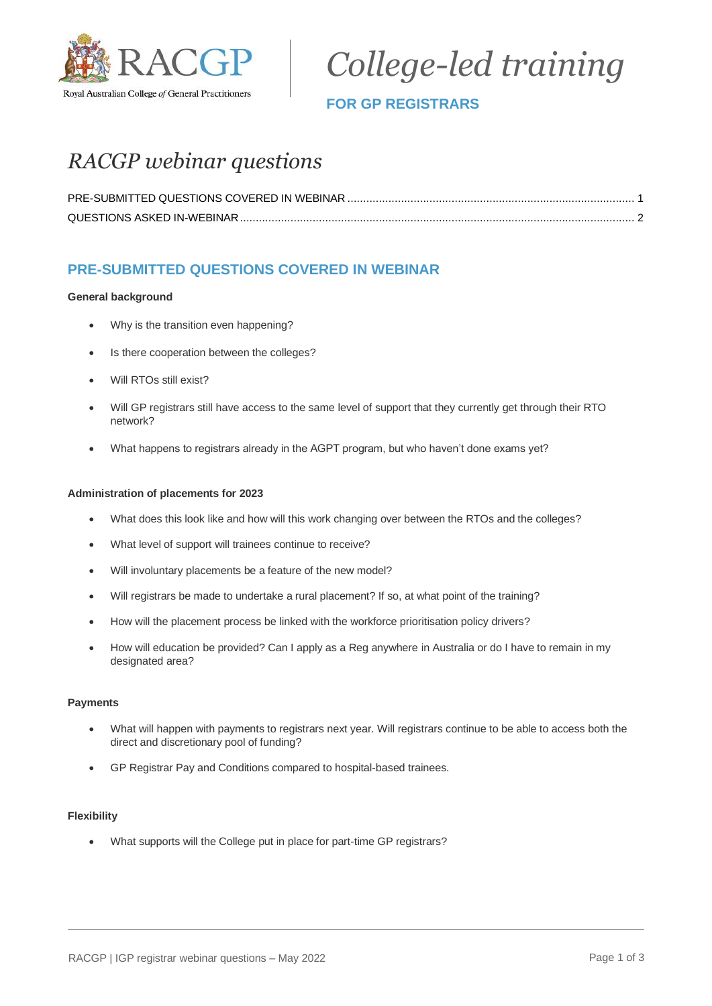

*College-led training*

## **FOR GP REGISTRARS**

# *RACGP webinar questions*

## <span id="page-0-0"></span>**PRE-SUBMITTED QUESTIONS COVERED IN WEBINAR**

#### **General background**

- Why is the transition even happening?
- Is there cooperation between the colleges?
- Will RTOs still exist?
- Will GP registrars still have access to the same level of support that they currently get through their RTO network?
- What happens to registrars already in the AGPT program, but who haven't done exams yet?

#### **Administration of placements for 2023**

- What does this look like and how will this work changing over between the RTOs and the colleges?
- What level of support will trainees continue to receive?
- Will involuntary placements be a feature of the new model?
- Will registrars be made to undertake a rural placement? If so, at what point of the training?
- How will the placement process be linked with the workforce prioritisation policy drivers?
- How will education be provided? Can I apply as a Reg anywhere in Australia or do I have to remain in my designated area?

#### **Payments**

- What will happen with payments to registrars next year. Will registrars continue to be able to access both the direct and discretionary pool of funding?
- GP Registrar Pay and Conditions compared to hospital-based trainees.

#### **Flexibility**

• What supports will the College put in place for part-time GP registrars?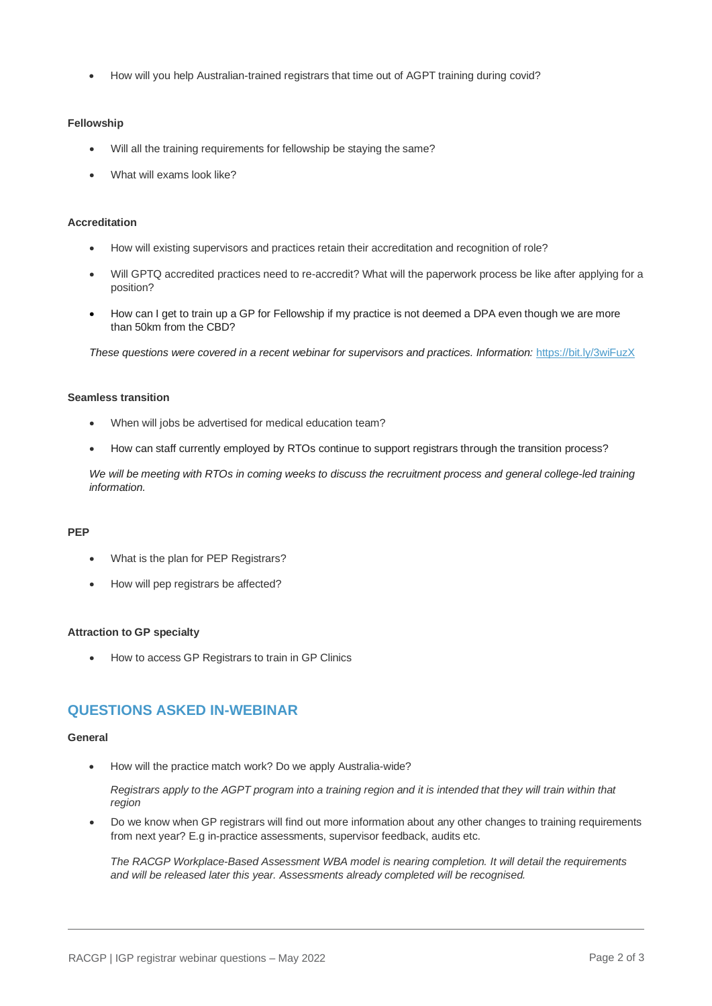• How will you help Australian-trained registrars that time out of AGPT training during covid?

#### **Fellowship**

- Will all the training requirements for fellowship be staying the same?
- What will exams look like?

#### **Accreditation**

- How will existing supervisors and practices retain their accreditation and recognition of role?
- Will GPTQ accredited practices need to re-accredit? What will the paperwork process be like after applying for a position?
- How can I get to train up a GP for Fellowship if my practice is not deemed a DPA even though we are more than 50km from the CBD?

*These questions were covered in a recent webinar for supervisors and practices. Information:* <https://bit.ly/3wiFuzX>

#### **Seamless transition**

- When will jobs be advertised for medical education team?
- How can staff currently employed by RTOs continue to support registrars through the transition process?

*We will be meeting with RTOs in coming weeks to discuss the recruitment process and general college-led training information.*

#### **PEP**

- What is the plan for PEP Registrars?
- How will pep registrars be affected?

#### **Attraction to GP specialty**

• How to access GP Registrars to train in GP Clinics

### <span id="page-1-0"></span>**QUESTIONS ASKED IN-WEBINAR**

#### **General**

• How will the practice match work? Do we apply Australia-wide?

*Registrars apply to the AGPT program into a training region and it is intended that they will train within that region*

• Do we know when GP registrars will find out more information about any other changes to training requirements from next year? E.g in-practice assessments, supervisor feedback, audits etc.

*The RACGP Workplace-Based Assessment WBA model is nearing completion. It will detail the requirements and will be released later this year. Assessments already completed will be recognised.*